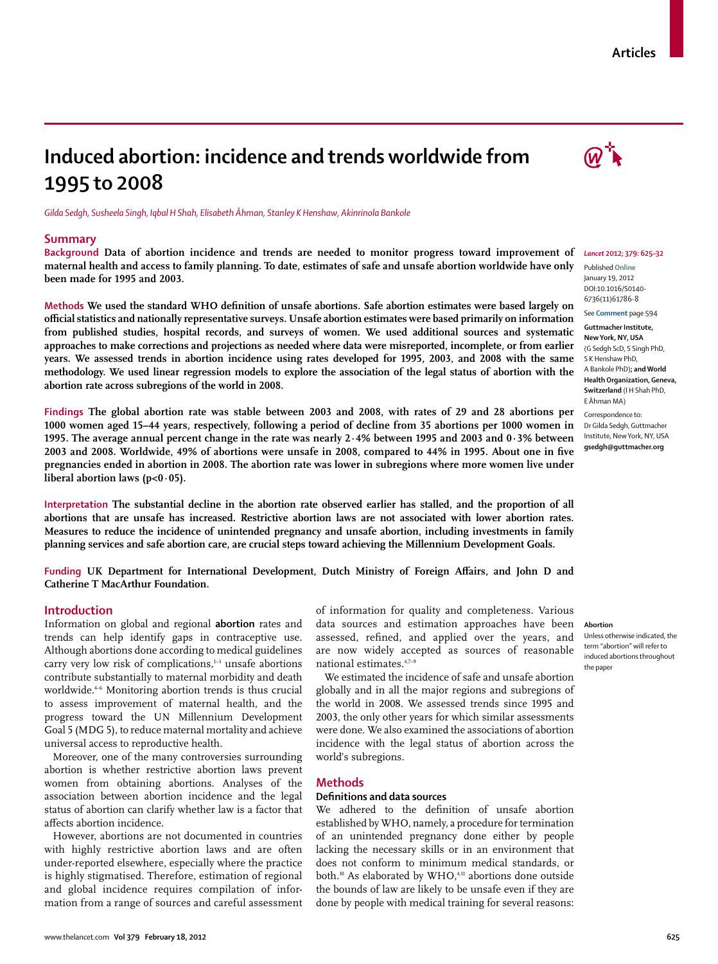# **Induced abortion: incidence and trends worldwide from 1995 to 2008**

*Gilda Sedgh, Susheela Singh, Iqbal H Shah, Elisabeth Åhman, Stanley K Henshaw, Akinrinola Bankole*

# **Summary**

**Background Data of abortion incidence and trends are needed to monitor progress toward improvement of maternal health and access to family planning. To date, estimates of safe and unsafe abortion worldwide have only been made for 1995 and 2003.**

Methods We used the standard WHO definition of unsafe abortions. Safe abortion estimates were based largely on official statistics and nationally representative surveys. Unsafe abortion estimates were based primarily on information **from published studies, hospital records, and surveys of women. We used additional sources and systematic**  approaches to make corrections and projections as needed where data were misreported, incomplete, or from earlier **years. We assessed trends in abortion incidence using rates developed for 1995, 2003, and 2008 with the same methodology. We used linear regression models to explore the association of the legal status of abortion with the abortion rate across subregions of the world in 2008.**

**Findings The global abortion rate was stable between 2003 and 2008, with rates of 29 and 28 abortions per 1000 women aged 15–44 years, respectively, following a period of decline from 35 abortions per 1000 women in 1995. The average annual percent change in the rate was nearly 2·4% between 1995 and 2003 and 0·3% between** 2003 and 2008. Worldwide, 49% of abortions were unsafe in 2008, compared to 44% in 1995. About one in five **pregnancies ended in abortion in 2008. The abortion rate was lower in subregions where more women live under liberal abortion laws (p<0·05).**

**Interpretation The substantial decline in the abortion rate observed earlier has stalled, and the proportion of all abortions that are unsafe has increased. Restrictive abortion laws are not associated with lower abortion rates. Measures to reduce the incidence of unintended pregnancy and unsafe abortion, including investments in family planning services and safe abortion care, are crucial steps toward achieving the Millennium Development Goals.**

Funding UK Department for International Development, Dutch Ministry of Foreign Affairs, and John D and **Catherine T MacArthur Foundation.**

# **Introduction**

Information on global and regional **abortion** rates and trends can help identify gaps in contraceptive use. Although abortions done according to medical guidelines carry very low risk of complications, $1-3$  unsafe abortions contribute substantially to maternal morbidity and death worldwide.<sup>4-6</sup> Monitoring abortion trends is thus crucial to assess improvement of maternal health, and the progress toward the UN Millennium Development Goal 5 (MDG 5), to reduce maternal mortality and achieve universal access to reproductive health.

Moreover, one of the many controversies surrounding abortion is whether restrictive abortion laws prevent women from obtaining abortions. Analyses of the association between abortion incidence and the legal status of abortion can clarify whether law is a factor that affects abortion incidence.

However, abortions are not documented in countries with highly restrictive abortion laws and are often under-reported elsewhere, especially where the practice is highly stigmatised. Therefore, estimation of regional and global incidence requires compilation of information from a range of sources and careful assessment of information for quality and completeness. Various data sources and estimation approaches have been assessed, refined, and applied over the years, and are now widely accepted as sources of reasonable national estimates.4,7–9

We estimated the incidence of safe and unsafe abortion globally and in all the major regions and subregions of the world in 2008. We assessed trends since 1995 and 2003, the only other years for which similar assessments were done. We also examined the associations of abortion incidence with the legal status of abortion across the world's subregions.

# **Methods**

#### **Defi nitions and data sources**

We adhered to the definition of unsafe abortion established by WHO, namely, a procedure for termination of an unintended pregnancy done either by people lacking the necessary skills or in an environment that does not conform to minimum medical standards, or both.<sup>10</sup> As elaborated by WHO,<sup>4,11</sup> abortions done outside the bounds of law are likely to be unsafe even if they are done by people with medical training for several reasons:

*Lancet* **2012; 379: 625–32**

Published **Online** January 19, 2012 DOI:10.1016/S0140- 6736(11)61786-8

See **Comment** page 594

**Guttmacher Institute, New York, NY, USA**  (G Sedgh ScD, S Singh PhD, S K Henshaw PhD, A Bankole PhD)**; and World Health Organization, Geneva, Switzerland** (I H Shah PhD, E Åhman MA)

Correspondence to: Dr Gilda Sedgh, Guttmacher Institute, New York, NY, USA **gsedgh@guttmacher.org**

#### **Abortion**

Unless otherwise indicated, the term "abortion" will refer to induced abortions throughout the paper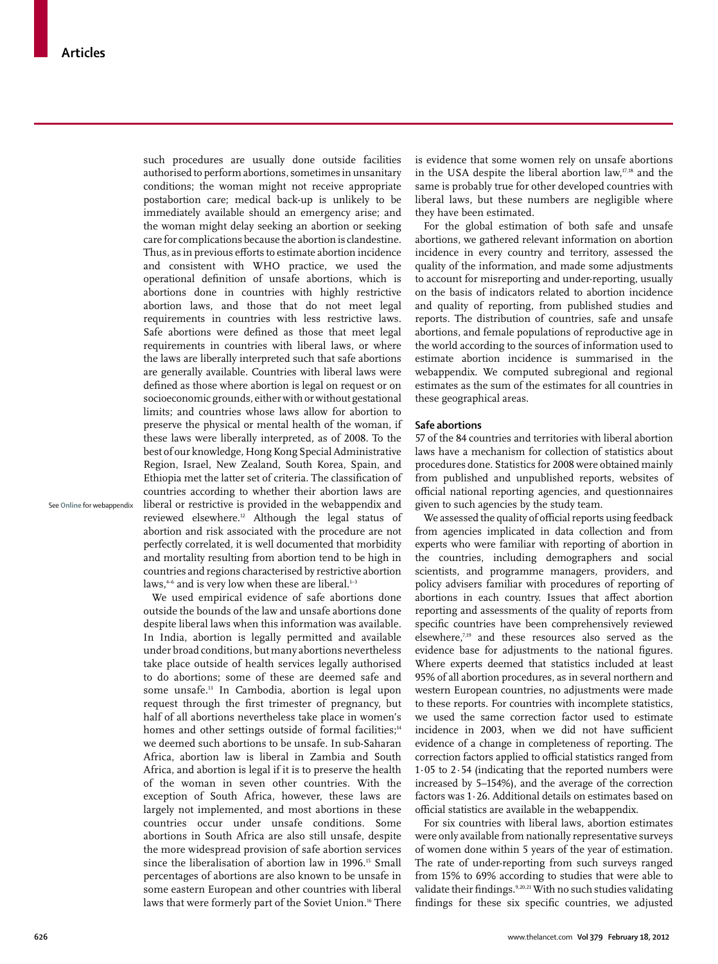such procedures are usually done outside facilities authorised to perform abortions, sometimes in unsanitary conditions; the woman might not receive appropriate postabortion care; medical back-up is unlikely to be immediately available should an emergency arise; and the woman might delay seeking an abortion or seeking care for complications because the abortion is clandestine. Thus, as in previous efforts to estimate abortion incidence and consistent with WHO practice, we used the operational definition of unsafe abortions, which is abortions done in countries with highly restrictive abortion laws, and those that do not meet legal requirements in countries with less restrictive laws. Safe abortions were defined as those that meet legal requirements in countries with liberal laws, or where the laws are liberally interpreted such that safe abortions are generally available. Countries with liberal laws were defined as those where abortion is legal on request or on socioeconomic grounds, either with or without gestational limits; and countries whose laws allow for abortion to preserve the physical or mental health of the woman, if these laws were liberally interpreted, as of 2008. To the best of our knowledge, Hong Kong Special Administrative Region, Israel, New Zealand, South Korea, Spain, and Ethiopia met the latter set of criteria. The classification of countries according to whether their abortion laws are liberal or restrictive is provided in the webappendix and reviewed elsewhere.<sup>12</sup> Although the legal status of abortion and risk associated with the procedure are not perfectly correlated, it is well documented that morbidity and mortality resulting from abortion tend to be high in countries and regions characterised by restrictive abortion laws,<sup>46</sup> and is very low when these are liberal.<sup>1-3</sup>

See **Online** for webappendix

We used empirical evidence of safe abortions done outside the bounds of the law and unsafe abortions done despite liberal laws when this information was available. In India, abortion is legally permitted and available under broad conditions, but many abortions nevertheless take place outside of health services legally authorised to do abortions; some of these are deemed safe and some unsafe.13 In Cambodia, abortion is legal upon request through the first trimester of pregnancy, but half of all abortions nevertheless take place in women's homes and other settings outside of formal facilities:<sup>14</sup> we deemed such abortions to be unsafe. In sub-Saharan Africa, abortion law is liberal in Zambia and South Africa, and abortion is legal if it is to preserve the health of the woman in seven other countries. With the exception of South Africa, however, these laws are largely not implemented, and most abortions in these countries occur under unsafe conditions. Some abortions in South Africa are also still unsafe, despite the more widespread provision of safe abortion services since the liberalisation of abortion law in 1996.<sup>15</sup> Small percentages of abortions are also known to be unsafe in some eastern European and other countries with liberal laws that were formerly part of the Soviet Union.<sup>16</sup> There is evidence that some women rely on unsafe abortions in the USA despite the liberal abortion law,<sup>17,18</sup> and the same is probably true for other developed countries with liberal laws, but these numbers are negligible where they have been estimated.

For the global estimation of both safe and unsafe abortions, we gathered relevant information on abortion incidence in every country and territory, assessed the quality of the information, and made some adjustments to account for misreporting and under-reporting, usually on the basis of indicators related to abortion incidence and quality of reporting, from published studies and reports. The distribution of countries, safe and unsafe abortions, and female populations of reproductive age in the world according to the sources of information used to estimate abortion incidence is summarised in the webappendix. We computed subregional and regional estimates as the sum of the estimates for all countries in these geographical areas.

# **Safe abortions**

57 of the 84 countries and territories with liberal abortion laws have a mechanism for collection of statistics about procedures done. Statistics for 2008 were obtained mainly from published and unpublished reports, websites of official national reporting agencies, and questionnaires given to such agencies by the study team.

We assessed the quality of official reports using feedback from agencies implicated in data collection and from experts who were familiar with reporting of abortion in the countries, including demographers and social scientists, and programme managers, providers, and policy advisers familiar with procedures of reporting of abortions in each country. Issues that affect abortion reporting and assessments of the quality of reports from specific countries have been comprehensively reviewed elsewhere,7,19 and these resources also served as the evidence base for adjustments to the national figures. Where experts deemed that statistics included at least 95% of all abortion procedures, as in several northern and western European countries, no adjustments were made to these reports. For countries with incomplete statistics, we used the same correction factor used to estimate incidence in 2003, when we did not have sufficient evidence of a change in completeness of reporting. The correction factors applied to official statistics ranged from 1·05 to 2·54 (indicating that the reported numbers were increased by 5–154%), and the average of the correction factors was 1·26. Additional details on estimates based on official statistics are available in the webappendix.

For six countries with liberal laws, abortion estimates were only available from nationally representative surveys of women done within 5 years of the year of estimation. The rate of under-reporting from such surveys ranged from 15% to 69% according to studies that were able to validate their findings.<sup>9,20,21</sup> With no such studies validating findings for these six specific countries, we adjusted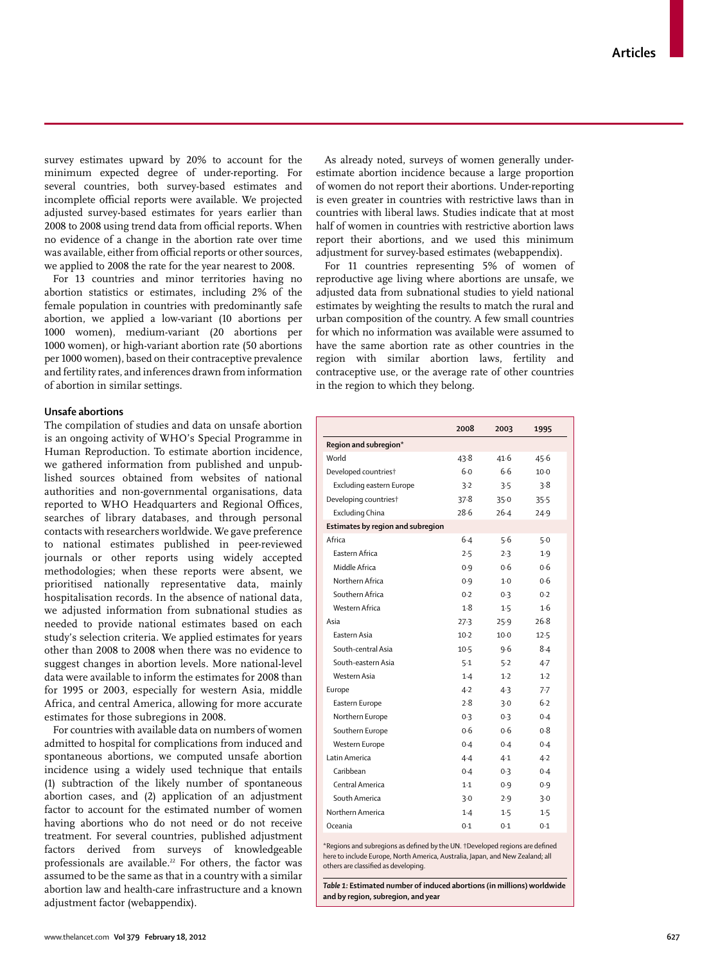survey estimates upward by 20% to account for the minimum expected degree of under-reporting. For several countries, both survey-based estimates and incomplete official reports were available. We projected adjusted survey-based estimates for years earlier than 2008 to 2008 using trend data from official reports. When no evidence of a change in the abortion rate over time was available, either from official reports or other sources, we applied to 2008 the rate for the year nearest to 2008.

For 13 countries and minor territories having no abortion statistics or estimates, including 2% of the female population in countries with predominantly safe abortion, we applied a low-variant (10 abortions per 1000 women), medium-variant (20 abortions per 1000 women), or high-variant abortion rate (50 abortions per 1000 women), based on their contraceptive prevalence and fertility rates, and inferences drawn from information of abortion in similar settings.

# **Unsafe abortions**

The compilation of studies and data on unsafe abortion is an ongoing activity of WHO's Special Programme in Human Reproduction. To estimate abortion incidence, we gathered information from published and unpublished sources obtained from websites of national authorities and non-governmental organisations, data reported to WHO Headquarters and Regional Offices, searches of library databases, and through personal contacts with researchers worldwide. We gave preference to national estimates published in peer-reviewed journals or other reports using widely accepted methodologies; when these reports were absent, we prioritised nationally representative data, mainly hospitalisation records. In the absence of national data, we adjusted information from subnational studies as needed to provide national estimates based on each study's selection criteria. We applied estimates for years other than 2008 to 2008 when there was no evidence to suggest changes in abortion levels. More national-level data were available to inform the estimates for 2008 than for 1995 or 2003, especially for western Asia, middle Africa, and central America, allowing for more accurate estimates for those subregions in 2008.

For countries with available data on numbers of women admitted to hospital for complications from induced and spontaneous abortions, we computed unsafe abortion incidence using a widely used technique that entails (1) subtraction of the likely number of spontaneous abortion cases, and (2) application of an adjustment factor to account for the estimated number of women having abortions who do not need or do not receive treatment. For several countries, published adjustment factors derived from surveys of knowledgeable professionals are available.<sup>22</sup> For others, the factor was assumed to be the same as that in a country with a similar abortion law and health-care infrastructure and a known adjustment factor (webappendix).

As already noted, surveys of women generally underestimate abortion incidence because a large proportion of women do not report their abortions. Under-reporting is even greater in countries with restrictive laws than in countries with liberal laws. Studies indicate that at most half of women in countries with restrictive abortion laws report their abortions, and we used this minimum adjustment for survey-based estimates (webappendix).

For 11 countries representing 5% of women of reproductive age living where abortions are unsafe, we adjusted data from subnational studies to yield national estimates by weighting the results to match the rural and urban composition of the country. A few small countries for which no information was available were assumed to have the same abortion rate as other countries in the region with similar abortion laws, fertility and contraceptive use, or the average rate of other countries in the region to which they belong.

|                                   | 2008   | 2003     | 1995   |  |  |  |  |
|-----------------------------------|--------|----------|--------|--|--|--|--|
| Region and subregion*             |        |          |        |  |  |  |  |
| World                             | 43.8   | 41.6     | 45.6   |  |  |  |  |
| Developed countries <sup>+</sup>  | 6.0    | 6.6      | $10-0$ |  |  |  |  |
| Excluding eastern Europe          | 3.2    | 3.5      | 3.8    |  |  |  |  |
| Developing countriest             | 37.8   | $35 - 0$ | 35.5   |  |  |  |  |
| Excluding China                   | 28.6   | 26.4     | 24.9   |  |  |  |  |
| Estimates by region and subregion |        |          |        |  |  |  |  |
| Africa                            | $6-4$  | 5.6      | 5.0    |  |  |  |  |
| Eastern Africa                    | 2.5    | 2.3      | 1.9    |  |  |  |  |
| Middle Africa                     | 0.9    | 0.6      | 0.6    |  |  |  |  |
| Northern Africa                   | 0.9    | $1-0$    | 0.6    |  |  |  |  |
| Southern Africa                   | 0.7    | 0.3      | 0.7    |  |  |  |  |
| Western Africa                    | 1.8    | 1.5      | 1.6    |  |  |  |  |
| Asia                              | 27.3   | 25.9     | 26.8   |  |  |  |  |
| <b>Eastern Asia</b>               | $10-2$ | $10-0$   | 12.5   |  |  |  |  |
| South-central Asia                | $10-5$ | $9-6$    | 8.4    |  |  |  |  |
| South-eastern Asia                | $5-1$  | 5.2      | 4.7    |  |  |  |  |
| Western Asia                      | $1-4$  | 1.7      | 1.2    |  |  |  |  |
| Europe                            | 4.7    | 4.3      | 7.7    |  |  |  |  |
| Eastern Europe                    | 2.8    | 3.0      | 6.2    |  |  |  |  |
| Northern Europe                   | 0.3    | 0.3      | 0.4    |  |  |  |  |
| Southern Europe                   | 0.6    | 0.6      | 0.8    |  |  |  |  |
| Western Europe                    | 0.4    | $0-4$    | 0.4    |  |  |  |  |
| Latin America                     | $4-4$  | $4-1$    | 4.7    |  |  |  |  |
| Caribbean                         | 0.4    | 0.3      | 0.4    |  |  |  |  |
| Central America                   | 1.1    | 0.9      | 0.9    |  |  |  |  |
| South America                     | $3-0$  | 2.9      | $3-0$  |  |  |  |  |
| Northern America                  | $1-4$  | 1.5      | 1.5    |  |  |  |  |
| Oceania                           | 0.1    | 0.1      | 0.1    |  |  |  |  |

\*Regions and subregions as defined by the UN. †Developed regions are defined here to include Europe, North America, Australia, Japan, and New Zealand; all others are classified as developing.

*Table 1:* **Estimated number of induced abortions (in millions) worldwide and by region, subregion, and year**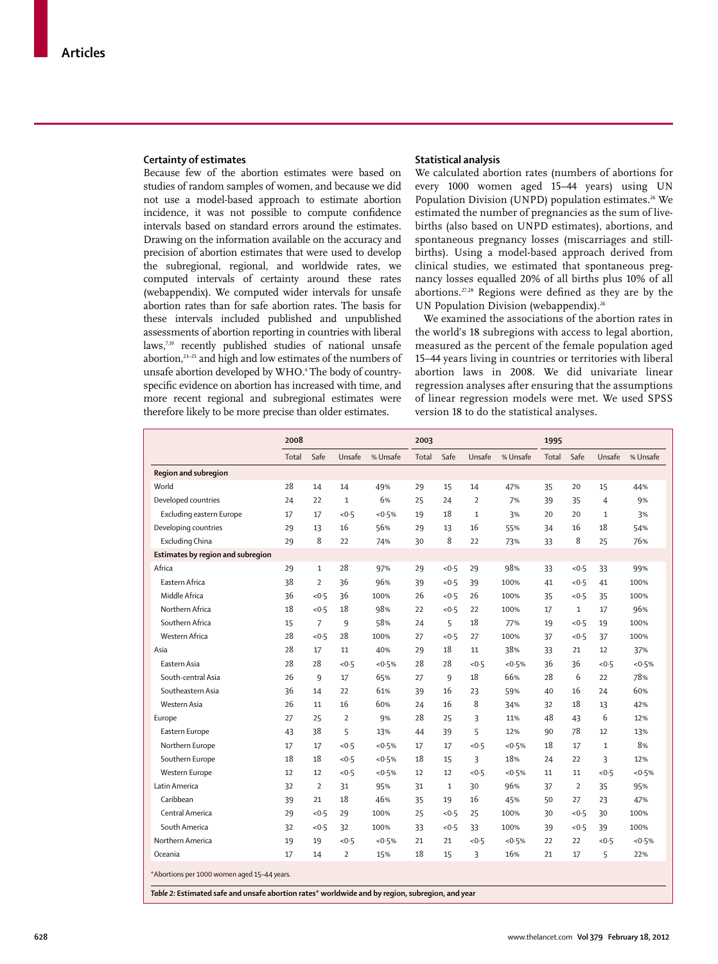## **Certainty of estimates**

Because few of the abortion estimates were based on studies of random samples of women, and because we did not use a model-based approach to estimate abortion incidence, it was not possible to compute confidence intervals based on standard errors around the estimates. Drawing on the information available on the accuracy and precision of abortion estimates that were used to develop the subregional, regional, and worldwide rates, we computed intervals of certainty around these rates (webappendix). We computed wider intervals for unsafe abortion rates than for safe abortion rates. The basis for these intervals included published and unpublished assessments of abortion reporting in countries with liberal laws,<sup>7,19</sup> recently published studies of national unsafe abortion,23–25 and high and low estimates of the numbers of unsafe abortion developed by WHO.<sup>4</sup> The body of countryspecific evidence on abortion has increased with time, and more recent regional and subregional estimates were therefore likely to be more precise than older estimates.

## **Statistical analysis**

We calculated abortion rates (numbers of abortions for every 1000 women aged 15–44 years) using UN Population Division (UNPD) population estimates.<sup>26</sup> We estimated the number of pregnancies as the sum of livebirths (also based on UNPD estimates), abortions, and spontaneous pregnancy losses (miscarriages and stillbirths). Using a model-based approach derived from clinical studies, we estimated that spontaneous pregnancy losses equalled 20% of all births plus 10% of all abortions.<sup>27,28</sup> Regions were defined as they are by the UN Population Division (webappendix).<sup>26</sup>

We examined the associations of the abortion rates in the world's 18 subregions with access to legal abortion, measured as the percent of the female population aged 15–44 years living in countries or territories with liberal abortion laws in 2008. We did univariate linear regression analyses after ensuring that the assumptions of linear regression models were met. We used SPSS version 18 to do the statistical analyses.

|                                             | 2008  |                |                | 2003     |       |              | 1995           |          |       |                |                |          |
|---------------------------------------------|-------|----------------|----------------|----------|-------|--------------|----------------|----------|-------|----------------|----------------|----------|
|                                             | Total | Safe           | Unsafe         | % Unsafe | Total | Safe         | Unsafe         | % Unsafe | Total | Safe           | Unsafe         | % Unsafe |
| Region and subregion                        |       |                |                |          |       |              |                |          |       |                |                |          |
| World                                       | 28    | 14             | 14             | 49%      | 29    | 15           | 14             | 47%      | 35    | 20             | 15             | 44%      |
| Developed countries                         | 24    | 22             | $\mathbf{1}$   | 6%       | 25    | 24           | $\overline{2}$ | 7%       | 39    | 35             | $\overline{4}$ | 9%       |
| <b>Excluding eastern Europe</b>             | 17    | 17             | <0.5           | <0.5%    | 19    | 18           | $\mathbf{1}$   | 3%       | 20    | 20             | $\mathbf{1}$   | 3%       |
| Developing countries                        | 29    | 13             | 16             | 56%      | 29    | 13           | 16             | 55%      | 34    | 16             | 18             | 54%      |
| Excluding China                             | 29    | 8              | 22             | 74%      | 30    | 8            | 22             | 73%      | 33    | 8              | 25             | 76%      |
| Estimates by region and subregion           |       |                |                |          |       |              |                |          |       |                |                |          |
| Africa                                      | 29    | $\mathbf{1}$   | 28             | 97%      | 29    | <0.5         | 29             | 98%      | 33    | <0.5           | 33             | 99%      |
| Eastern Africa                              | 38    | $\overline{2}$ | 36             | 96%      | 39    | <0.5         | 39             | 100%     | 41    | <0.5           | 41             | 100%     |
| Middle Africa                               | 36    | <0.5           | 36             | 100%     | 26    | <0.5         | 26             | 100%     | 35    | <0.5           | 35             | 100%     |
| Northern Africa                             | 18    | <0.5           | 18             | 98%      | 22    | <0.5         | 22             | 100%     | 17    | $\mathbf{1}$   | 17             | 96%      |
| Southern Africa                             | 15    | $\overline{7}$ | 9              | 58%      | 24    | 5            | 18             | 77%      | 19    | <0.5           | 19             | 100%     |
| Western Africa                              | 28    | <0.5           | 28             | 100%     | 27    | <0.5         | 27             | 100%     | 37    | <0.5           | 37             | 100%     |
| Asia                                        | 28    | 17             | 11             | 40%      | 29    | 18           | 11             | 38%      | 33    | 21             | 12             | 37%      |
| <b>Eastern Asia</b>                         | 28    | 28             | <0.5           | <0.5%    | 28    | 28           | <0.5           | <0.5%    | 36    | 36             | < 0.5          | <0.5%    |
| South-central Asia                          | 26    | 9              | 17             | 65%      | 27    | 9            | 18             | 66%      | 28    | 6              | 22             | 78%      |
| Southeastern Asia                           | 36    | 14             | 22             | 61%      | 39    | 16           | 23             | 59%      | 40    | 16             | 24             | 60%      |
| Western Asia                                | 26    | 11             | 16             | 60%      | 24    | 16           | 8              | 34%      | 32    | 18             | 13             | 42%      |
| Europe                                      | 27    | 25             | $\overline{2}$ | 9%       | 28    | 25           | 3              | 11%      | 48    | 43             | 6              | 12%      |
| Eastern Europe                              | 43    | 38             | 5              | 13%      | 44    | 39           | 5              | 12%      | 90    | 78             | 12             | 13%      |
| Northern Europe                             | 17    | 17             | <0.5           | <0.5%    | 17    | 17           | <0.5           | <0.5%    | 18    | 17             | $\mathbf{1}$   | 8%       |
| Southern Europe                             | 18    | 18             | <0.5           | <0.5%    | 18    | 15           | 3              | 18%      | 24    | 22             | 3              | 12%      |
| <b>Western Europe</b>                       | 12    | 12             | <0.5           | <0.5%    | 12    | 12           | <0.5           | <0.5%    | 11    | 11             | <0.5           | <0.5%    |
| Latin America                               | 32    | $\overline{2}$ | 31             | 95%      | 31    | $\mathbf{1}$ | 30             | 96%      | 37    | $\overline{2}$ | 35             | 95%      |
| Caribbean                                   | 39    | 21             | 18             | 46%      | 35    | 19           | 16             | 45%      | 50    | 27             | 23             | 47%      |
| Central America                             | 29    | <0.5           | 29             | 100%     | 25    | <0.5         | 25             | 100%     | 30    | <0.5           | 30             | 100%     |
| South America                               | 32    | <0.5           | 32             | 100%     | 33    | < 0.5        | 33             | 100%     | 39    | <0.5           | 39             | 100%     |
| Northern America                            | 19    | 19             | <0.5           | <0.5%    | 21    | 21           | <0.5           | <0.5%    | 22    | 22             | <0.5           | <0.5%    |
| Oceania                                     | 17    | 14             | $\overline{2}$ | 15%      | 18    | 15           | 3              | 16%      | 21    | 17             | 5              | 22%      |
| *Abortions per 1000 women aged 15-44 years. |       |                |                |          |       |              |                |          |       |                |                |          |

*Table 2:* **Estimated safe and unsafe abortion rates\* worldwide and by region, subregion, and year**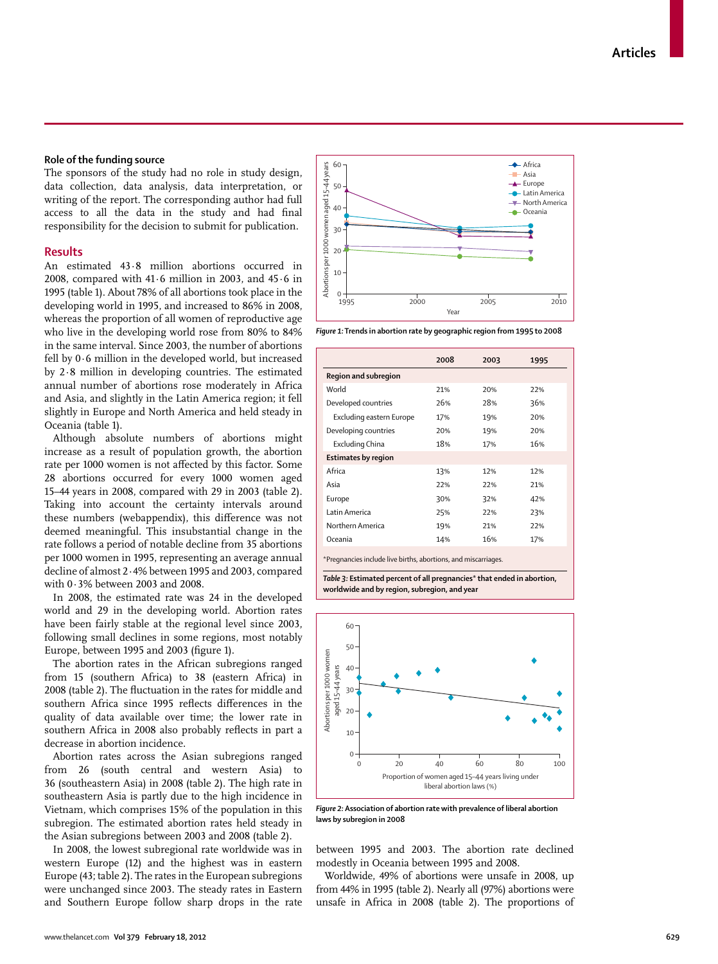# **Role of the funding source**

The sponsors of the study had no role in study design, data collection, data analysis, data interpretation, or writing of the report. The corresponding author had full access to all the data in the study and had final responsibility for the decision to submit for publication.

#### **Results**

An estimated 43·8 million abortions occurred in 2008, compared with 41·6 million in 2003, and 45·6 in 1995 (table 1). About 78% of all abortions took place in the developing world in 1995, and increased to 86% in 2008, whereas the proportion of all women of reproductive age who live in the developing world rose from 80% to 84% in the same interval. Since 2003, the number of abortions fell by 0·6 million in the developed world, but increased by 2·8 million in developing countries. The estimated annual number of abortions rose moderately in Africa and Asia, and slightly in the Latin America region; it fell slightly in Europe and North America and held steady in Oceania (table 1).

Although absolute numbers of abortions might increase as a result of population growth, the abortion rate per 1000 women is not affected by this factor. Some 28 abortions occurred for every 1000 women aged 15–44 years in 2008, compared with 29 in 2003 (table 2). Taking into account the certainty intervals around these numbers (webappendix), this difference was not deemed meaningful. This insubstantial change in the rate follows a period of notable decline from 35 abortions per 1000 women in 1995, representing an average annual decline of almost 2·4% between 1995 and 2003, compared with 0·3% between 2003 and 2008.

In 2008, the estimated rate was 24 in the developed world and 29 in the developing world. Abortion rates have been fairly stable at the regional level since 2003, following small declines in some regions, most notably Europe, between 1995 and 2003 (figure 1).

The abortion rates in the African subregions ranged from 15 (southern Africa) to 38 (eastern Africa) in 2008 (table 2). The fluctuation in the rates for middle and southern Africa since 1995 reflects differences in the quality of data available over time; the lower rate in southern Africa in 2008 also probably reflects in part a decrease in abortion incidence.

Abortion rates across the Asian subregions ranged from 26 (south central and western Asia) to 36 (southeastern Asia) in 2008 (table 2). The high rate in southeastern Asia is partly due to the high incidence in Vietnam, which comprises 15% of the population in this subregion. The estimated abortion rates held steady in the Asian subregions between 2003 and 2008 (table 2).

In 2008, the lowest subregional rate worldwide was in western Europe (12) and the highest was in eastern Europe (43; table 2). The rates in the European subregions were unchanged since 2003. The steady rates in Eastern and Southern Europe follow sharp drops in the rate



*Figure 1:* **Trends in abortion rate by geographic region from 1995 to 2008**

|                            | 2008 | 2003 | 1995 |  |  |  |
|----------------------------|------|------|------|--|--|--|
| Region and subregion       |      |      |      |  |  |  |
| World                      | 21%  | 20%  | 22%  |  |  |  |
| Developed countries        | 26%  | 28%  | 36%  |  |  |  |
| Excluding eastern Europe   | 17%  | 19%  | 20%  |  |  |  |
| Developing countries       | 20%  | 19%  | 20%  |  |  |  |
| Excluding China            | 18%  | 17%  | 16%  |  |  |  |
| <b>Estimates by region</b> |      |      |      |  |  |  |
| Africa                     | 13%  | 12%  | 12%  |  |  |  |
| Asia                       | 22%  | 22%  | 21%  |  |  |  |
| Europe                     | 30%  | 32%  | 42%  |  |  |  |
| Latin America              | 25%  | 22%  | 23%  |  |  |  |
| Northern America           | 19%  | 21%  | 22%  |  |  |  |
| Oceania                    | 14%  | 16%  | 17%  |  |  |  |
|                            |      |      |      |  |  |  |

\*Pregnancies include live births, abortions, and miscarriages.

*Table 3:* **Estimated percent of all pregnancies\* that ended in abortion, worldwide and by region, subregion, and year**



*Figure 2:* **Association of abortion rate with prevalence of liberal abortion laws by subregion in 2008**

between 1995 and 2003. The abortion rate declined modestly in Oceania between 1995 and 2008.

Worldwide, 49% of abortions were unsafe in 2008, up from 44% in 1995 (table 2). Nearly all (97%) abortions were unsafe in Africa in 2008 (table 2). The proportions of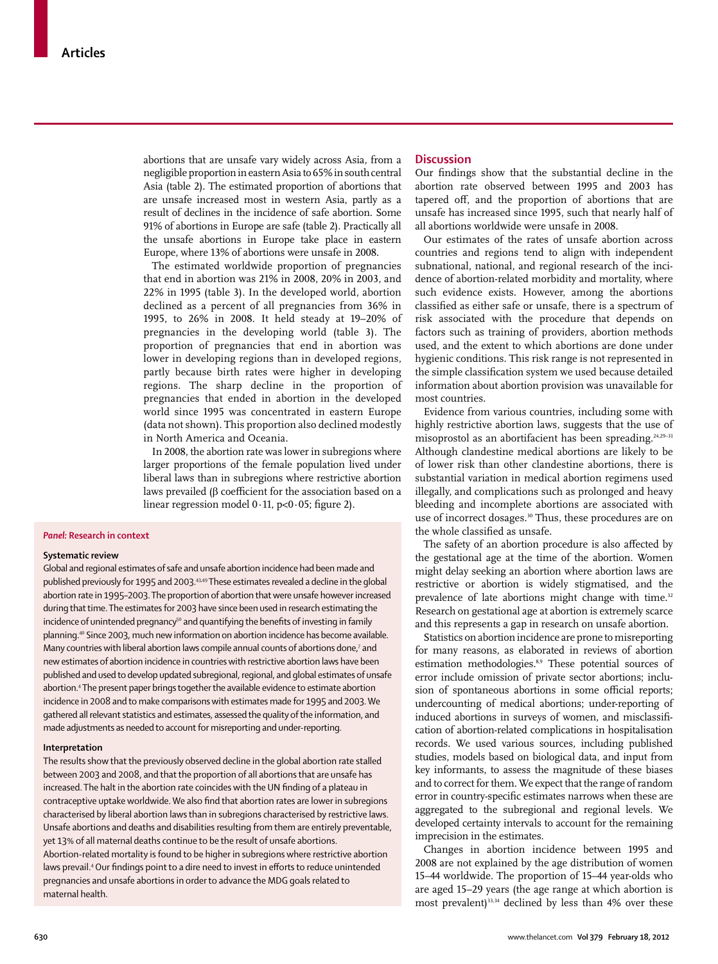abortions that are unsafe vary widely across Asia, from a negligible proportion in eastern Asia to 65% in south central Asia (table 2). The estimated proportion of abortions that are unsafe increased most in western Asia, partly as a result of declines in the incidence of safe abortion. Some 91% of abortions in Europe are safe (table 2). Practically all the unsafe abortions in Europe take place in eastern Europe, where 13% of abortions were unsafe in 2008.

The estimated worldwide proportion of pregnancies that end in abortion was 21% in 2008, 20% in 2003, and 22% in 1995 (table 3). In the developed world, abortion declined as a percent of all pregnancies from 36% in 1995, to 26% in 2008. It held steady at 19–20% of pregnancies in the developing world (table 3). The proportion of pregnancies that end in abortion was lower in developing regions than in developed regions, partly because birth rates were higher in developing regions. The sharp decline in the proportion of pregnancies that ended in abortion in the developed world since 1995 was concentrated in eastern Europe (data not shown). This proportion also declined modestly in North America and Oceania.

In 2008, the abortion rate was lower in subregions where larger proportions of the female population lived under liberal laws than in subregions where restrictive abortion laws prevailed (β coefficient for the association based on a linear regression model  $0.11$ , p< $0.05$ ; figure 2).

#### *Panel:* **Research in context**

#### **Systematic review**

Global and regional estimates of safe and unsafe abortion incidence had been made and published previously for 1995 and 2003.<sup>43,49</sup> These estimates revealed a decline in the global abortion rate in 1995–2003. The proportion of abortion that were unsafe however increased during that time. The estimates for 2003 have since been used in research estimating the incidence of unintended pregnancy<sup>50</sup> and quantifying the benefits of investing in family planning.40 Since 2003, much new information on abortion incidence has become available. Many countries with liberal abortion laws compile annual counts of abortions done,<sup>7</sup> and new estimates of abortion incidence in countries with restrictive abortion laws have been published and used to develop updated subregional, regional, and global estimates of unsafe abortion.<sup>4</sup> The present paper brings together the available evidence to estimate abortion incidence in 2008 and to make comparisons with estimates made for 1995 and 2003. We gathered all relevant statistics and estimates, assessed the quality of the information, and made adjustments as needed to account for misreporting and under-reporting.

#### **Interpretation**

The results show that the previously observed decline in the global abortion rate stalled between 2003 and 2008, and that the proportion of all abortions that are unsafe has increased. The halt in the abortion rate coincides with the UN finding of a plateau in contraceptive uptake worldwide. We also find that abortion rates are lower in subregions characterised by liberal abortion laws than in subregions characterised by restrictive laws. Unsafe abortions and deaths and disabilities resulting from them are entirely preventable, yet 13% of all maternal deaths continue to be the result of unsafe abortions. Abortion-related mortality is found to be higher in subregions where restrictive abortion laws prevail.<sup>4</sup> Our findings point to a dire need to invest in efforts to reduce unintended pregnancies and unsafe abortions in order to advance the MDG goals related to maternal health.

#### **Discussion**

Our findings show that the substantial decline in the abortion rate observed between 1995 and 2003 has tapered off, and the proportion of abortions that are unsafe has increased since 1995, such that nearly half of all abortions worldwide were unsafe in 2008.

Our estimates of the rates of unsafe abortion across countries and regions tend to align with independent subnational, national, and regional research of the incidence of abortion-related morbidity and mortality, where such evidence exists. However, among the abortions classified as either safe or unsafe, there is a spectrum of risk associated with the procedure that depends on factors such as training of providers, abortion methods used, and the extent to which abortions are done under hygienic conditions. This risk range is not represented in the simple classification system we used because detailed information about abortion provision was unavailable for most countries.

Evidence from various countries, including some with highly restrictive abortion laws, suggests that the use of misoprostol as an abortifacient has been spreading.24,29–31 Although clandestine medical abortions are likely to be of lower risk than other clandestine abortions, there is substantial variation in medical abortion regimens used illegally, and complications such as prolonged and heavy bleeding and incomplete abortions are associated with use of incorrect dosages.<sup>30</sup> Thus, these procedures are on the whole classified as unsafe.

The safety of an abortion procedure is also affected by the gestational age at the time of the abortion. Women might delay seeking an abortion where abortion laws are restrictive or abortion is widely stigmatised, and the prevalence of late abortions might change with time.<sup>32</sup> Research on gestational age at abortion is extremely scarce and this represents a gap in research on unsafe abortion.

Statistics on abortion incidence are prone to misreporting for many reasons, as elaborated in reviews of abortion estimation methodologies.<sup>8,9</sup> These potential sources of error include omission of private sector abortions; inclusion of spontaneous abortions in some official reports; undercounting of medical abortions; under-reporting of induced abortions in surveys of women, and misclassification of abortion-related complications in hospitalisation records. We used various sources, including published studies, models based on biological data, and input from key informants, to assess the magnitude of these biases and to correct for them. We expect that the range of random error in country-specific estimates narrows when these are aggregated to the subregional and regional levels. We developed certainty intervals to account for the remaining imprecision in the estimates.

Changes in abortion incidence between 1995 and 2008 are not explained by the age distribution of women 15–44 worldwide. The proportion of 15–44 year-olds who are aged 15–29 years (the age range at which abortion is most prevalent)<sup>33,34</sup> declined by less than 4% over these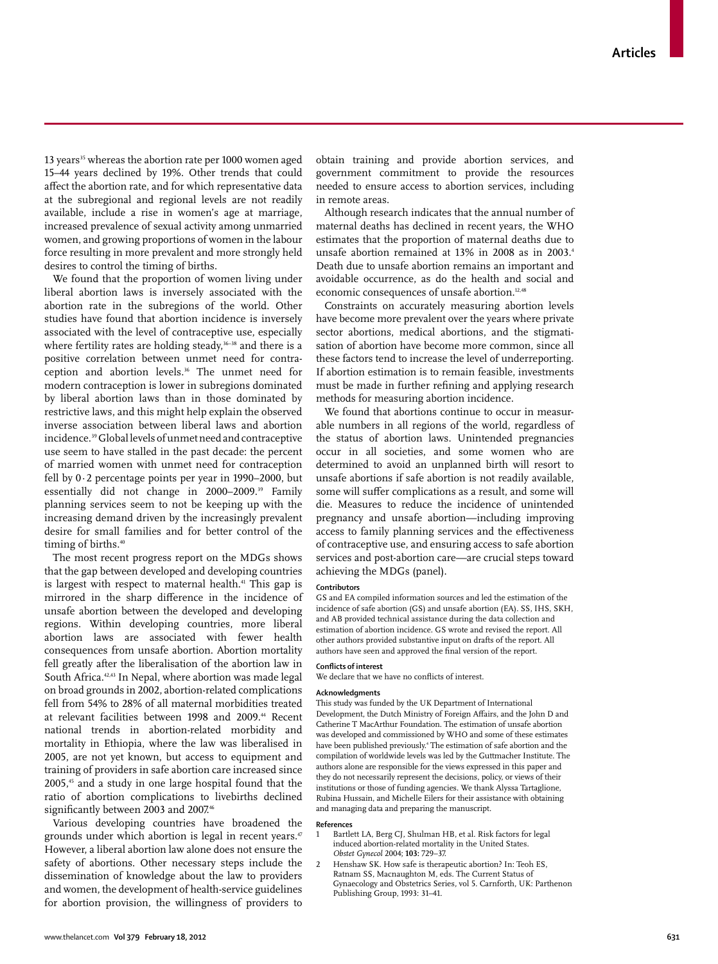13 years<sup>35</sup> whereas the abortion rate per 1000 women aged 15–44 years declined by 19%. Other trends that could affect the abortion rate, and for which representative data at the subregional and regional levels are not readily available, include a rise in women's age at marriage, increased prevalence of sexual activity among unmarried women, and growing proportions of women in the labour force resulting in more prevalent and more strongly held desires to control the timing of births.

We found that the proportion of women living under liberal abortion laws is inversely associated with the abortion rate in the subregions of the world. Other studies have found that abortion incidence is inversely associated with the level of contraceptive use, especially where fertility rates are holding steady,<sup>36-38</sup> and there is a positive correlation between unmet need for contraception and abortion levels.<sup>36</sup> The unmet need for modern contraception is lower in subregions dominated by liberal abortion laws than in those dominated by restrictive laws, and this might help explain the observed inverse association between liberal laws and abortion incidence.39 Global levels of unmet need and contraceptive use seem to have stalled in the past decade: the percent of married women with unmet need for contraception fell by 0·2 percentage points per year in 1990–2000, but essentially did not change in 2000–2009.39 Family planning services seem to not be keeping up with the increasing demand driven by the increasingly prevalent desire for small families and for better control of the timing of births.<sup>40</sup>

The most recent progress report on the MDGs shows that the gap between developed and developing countries is largest with respect to maternal health.<sup>41</sup> This gap is mirrored in the sharp difference in the incidence of unsafe abortion between the developed and developing regions. Within developing countries, more liberal abortion laws are associated with fewer health consequences from unsafe abortion. Abortion mortality fell greatly after the liberalisation of the abortion law in South Africa.<sup>42,43</sup> In Nepal, where abortion was made legal on broad grounds in 2002, abortion-related complications fell from 54% to 28% of all maternal morbidities treated at relevant facilities between 1998 and 2009.<sup>44</sup> Recent national trends in abortion-related morbidity and mortality in Ethiopia, where the law was liberalised in 2005, are not yet known, but access to equipment and training of providers in safe abortion care increased since 2005,45 and a study in one large hospital found that the ratio of abortion complications to livebirths declined significantly between 2003 and 2007.<sup>46</sup>

Various developing countries have broadened the grounds under which abortion is legal in recent years.<sup>47</sup> However, a liberal abortion law alone does not ensure the safety of abortions. Other necessary steps include the dissemination of knowledge about the law to providers and women, the development of health-service guidelines for abortion provision, the willingness of providers to obtain training and provide abortion services, and government commitment to provide the resources needed to ensure access to abortion services, including in remote areas.

Although research indicates that the annual number of maternal deaths has declined in recent years, the WHO estimates that the proportion of maternal deaths due to unsafe abortion remained at 13% in 2008 as in 2003.<sup>4</sup> Death due to unsafe abortion remains an important and avoidable occurrence, as do the health and social and economic consequences of unsafe abortion.<sup>12,48</sup>

Constraints on accurately measuring abortion levels have become more prevalent over the years where private sector abortions, medical abortions, and the stigmatisation of abortion have become more common, since all these factors tend to increase the level of underreporting. If abortion estimation is to remain feasible, investments must be made in further refining and applying research methods for measuring abortion incidence.

We found that abortions continue to occur in measurable numbers in all regions of the world, regardless of the status of abortion laws. Unintended pregnancies occur in all societies, and some women who are determined to avoid an unplanned birth will resort to unsafe abortions if safe abortion is not readily available, some will suffer complications as a result, and some will die. Measures to reduce the incidence of unintended pregnancy and unsafe abortion—including improving access to family planning services and the effectiveness of contraceptive use, and ensuring access to safe abortion services and post-abortion care—are crucial steps toward achieving the MDGs (panel).

#### **Contributors**

GS and EA compiled information sources and led the estimation of the incidence of safe abortion (GS) and unsafe abortion (EA). SS, IHS, SKH, and AB provided technical assistance during the data collection and estimation of abortion incidence. GS wrote and revised the report. All other authors provided substantive input on drafts of the report. All authors have seen and approved the final version of the report.

#### **Confl icts of interest**

We declare that we have no conflicts of interest.

#### **Acknowledgments**

This study was funded by the UK Department of International Development, the Dutch Ministry of Foreign Affairs, and the John D and Catherine T MacArthur Foundation. The estimation of unsafe abortion was developed and commissioned by WHO and some of these estimates have been published previously.<sup>4</sup> The estimation of safe abortion and the compilation of worldwide levels was led by the Guttmacher Institute. The authors alone are responsible for the views expressed in this paper and they do not necessarily represent the decisions, policy, or views of their institutions or those of funding agencies. We thank Alyssa Tartaglione, Rubina Hussain, and Michelle Eilers for their assistance with obtaining and managing data and preparing the manuscript.

#### **References**

- Bartlett LA, Berg CJ, Shulman HB, et al. Risk factors for legal induced abortion-related mortality in the United States. *Obstet Gynecol* 2004; **103:** 729–37.
- Henshaw SK. How safe is therapeutic abortion? In: Teoh ES, Ratnam SS, Macnaughton M, eds. The Current Status of Gynaecology and Obstetrics Series*,* vol 5. Carnforth, UK: Parthenon Publishing Group, 1993: 31–41.